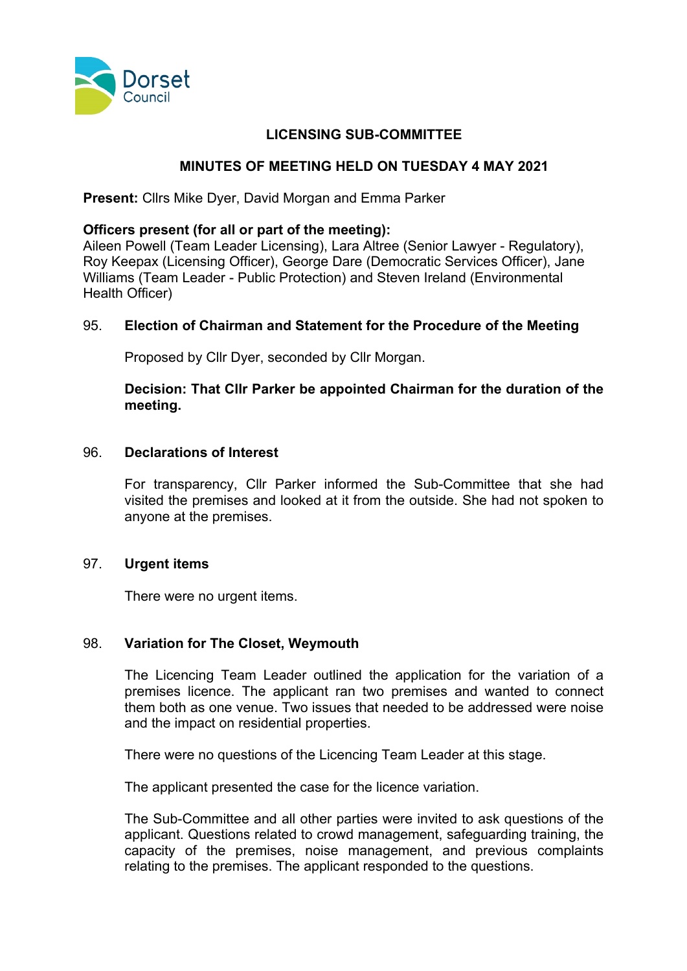

# **LICENSING SUB-COMMITTEE**

# **MINUTES OF MEETING HELD ON TUESDAY 4 MAY 2021**

**Present:** Cllrs Mike Dyer, David Morgan and Emma Parker

## **Officers present (for all or part of the meeting):**

Aileen Powell (Team Leader Licensing), Lara Altree (Senior Lawyer - Regulatory), Roy Keepax (Licensing Officer), George Dare (Democratic Services Officer), Jane Williams (Team Leader - Public Protection) and Steven Ireland (Environmental Health Officer)

## 95. **Election of Chairman and Statement for the Procedure of the Meeting**

Proposed by Cllr Dyer, seconded by Cllr Morgan.

**Decision: That Cllr Parker be appointed Chairman for the duration of the meeting.**

## 96. **Declarations of Interest**

For transparency, Cllr Parker informed the Sub-Committee that she had visited the premises and looked at it from the outside. She had not spoken to anyone at the premises.

### 97. **Urgent items**

There were no urgent items.

### 98. **Variation for The Closet, Weymouth**

The Licencing Team Leader outlined the application for the variation of a premises licence. The applicant ran two premises and wanted to connect them both as one venue. Two issues that needed to be addressed were noise and the impact on residential properties.

There were no questions of the Licencing Team Leader at this stage.

The applicant presented the case for the licence variation.

The Sub-Committee and all other parties were invited to ask questions of the applicant. Questions related to crowd management, safeguarding training, the capacity of the premises, noise management, and previous complaints relating to the premises. The applicant responded to the questions.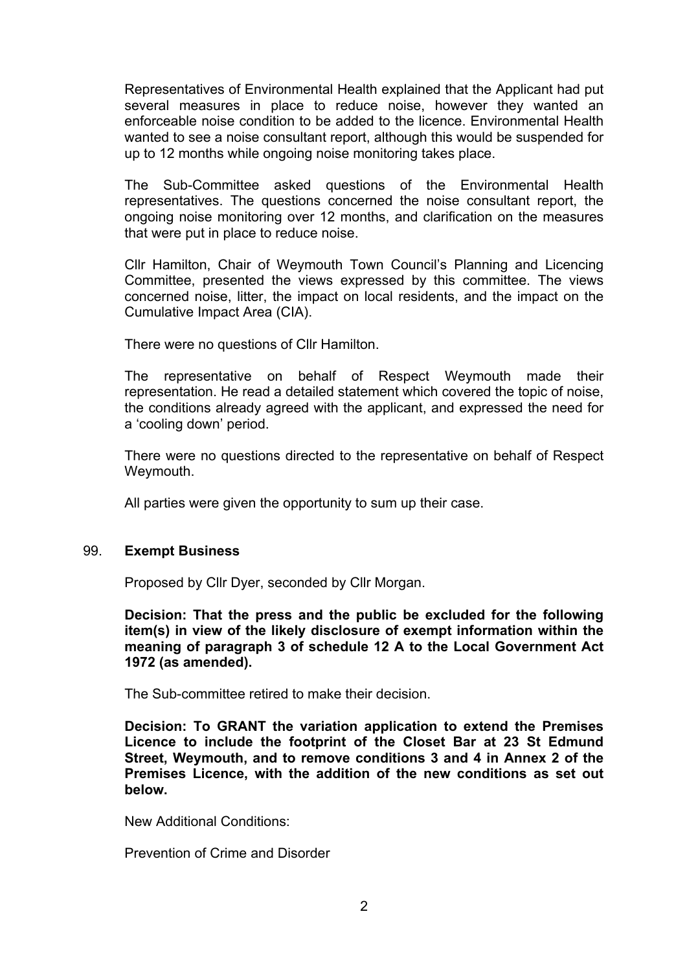Representatives of Environmental Health explained that the Applicant had put several measures in place to reduce noise, however they wanted an enforceable noise condition to be added to the licence. Environmental Health wanted to see a noise consultant report, although this would be suspended for up to 12 months while ongoing noise monitoring takes place.

The Sub-Committee asked questions of the Environmental Health representatives. The questions concerned the noise consultant report, the ongoing noise monitoring over 12 months, and clarification on the measures that were put in place to reduce noise.

Cllr Hamilton, Chair of Weymouth Town Council's Planning and Licencing Committee, presented the views expressed by this committee. The views concerned noise, litter, the impact on local residents, and the impact on the Cumulative Impact Area (CIA).

There were no questions of Cllr Hamilton.

The representative on behalf of Respect Weymouth made their representation. He read a detailed statement which covered the topic of noise, the conditions already agreed with the applicant, and expressed the need for a 'cooling down' period.

There were no questions directed to the representative on behalf of Respect Weymouth.

All parties were given the opportunity to sum up their case.

### 99. **Exempt Business**

Proposed by Cllr Dyer, seconded by Cllr Morgan.

**Decision: That the press and the public be excluded for the following item(s) in view of the likely disclosure of exempt information within the meaning of paragraph 3 of schedule 12 A to the Local Government Act 1972 (as amended).**

The Sub-committee retired to make their decision.

**Decision: To GRANT the variation application to extend the Premises Licence to include the footprint of the Closet Bar at 23 St Edmund Street, Weymouth, and to remove conditions 3 and 4 in Annex 2 of the Premises Licence, with the addition of the new conditions as set out below.**

New Additional Conditions:

Prevention of Crime and Disorder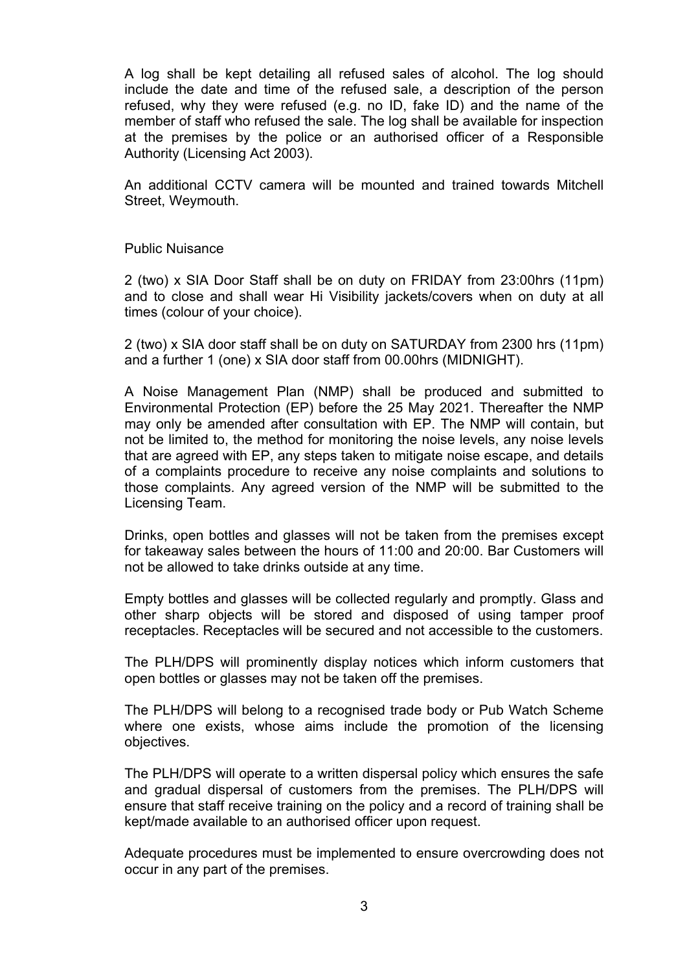A log shall be kept detailing all refused sales of alcohol. The log should include the date and time of the refused sale, a description of the person refused, why they were refused (e.g. no ID, fake ID) and the name of the member of staff who refused the sale. The log shall be available for inspection at the premises by the police or an authorised officer of a Responsible Authority (Licensing Act 2003).

An additional CCTV camera will be mounted and trained towards Mitchell Street, Weymouth.

Public Nuisance

2 (two) x SIA Door Staff shall be on duty on FRIDAY from 23:00hrs (11pm) and to close and shall wear Hi Visibility jackets/covers when on duty at all times (colour of your choice).

2 (two) x SIA door staff shall be on duty on SATURDAY from 2300 hrs (11pm) and a further 1 (one) x SIA door staff from 00.00hrs (MIDNIGHT).

A Noise Management Plan (NMP) shall be produced and submitted to Environmental Protection (EP) before the 25 May 2021. Thereafter the NMP may only be amended after consultation with EP. The NMP will contain, but not be limited to, the method for monitoring the noise levels, any noise levels that are agreed with EP, any steps taken to mitigate noise escape, and details of a complaints procedure to receive any noise complaints and solutions to those complaints. Any agreed version of the NMP will be submitted to the Licensing Team.

Drinks, open bottles and glasses will not be taken from the premises except for takeaway sales between the hours of 11:00 and 20:00. Bar Customers will not be allowed to take drinks outside at any time.

Empty bottles and glasses will be collected regularly and promptly. Glass and other sharp objects will be stored and disposed of using tamper proof receptacles. Receptacles will be secured and not accessible to the customers.

The PLH/DPS will prominently display notices which inform customers that open bottles or glasses may not be taken off the premises.

The PLH/DPS will belong to a recognised trade body or Pub Watch Scheme where one exists, whose aims include the promotion of the licensing objectives.

The PLH/DPS will operate to a written dispersal policy which ensures the safe and gradual dispersal of customers from the premises. The PLH/DPS will ensure that staff receive training on the policy and a record of training shall be kept/made available to an authorised officer upon request.

Adequate procedures must be implemented to ensure overcrowding does not occur in any part of the premises.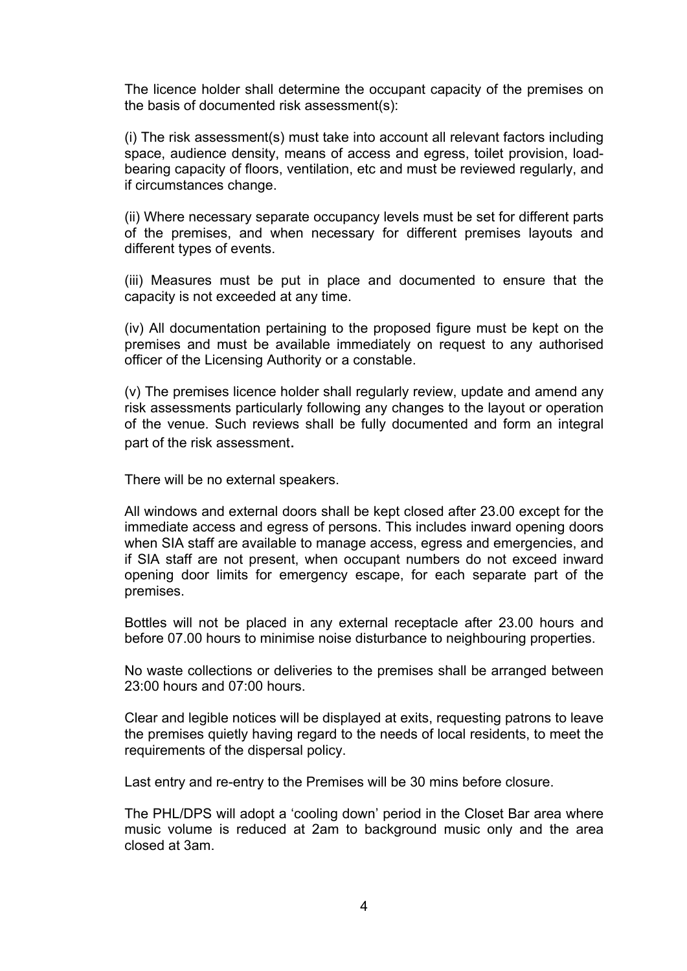The licence holder shall determine the occupant capacity of the premises on the basis of documented risk assessment(s):

(i) The risk assessment(s) must take into account all relevant factors including space, audience density, means of access and egress, toilet provision, loadbearing capacity of floors, ventilation, etc and must be reviewed regularly, and if circumstances change.

(ii) Where necessary separate occupancy levels must be set for different parts of the premises, and when necessary for different premises layouts and different types of events.

(iii) Measures must be put in place and documented to ensure that the capacity is not exceeded at any time.

(iv) All documentation pertaining to the proposed figure must be kept on the premises and must be available immediately on request to any authorised officer of the Licensing Authority or a constable.

(v) The premises licence holder shall regularly review, update and amend any risk assessments particularly following any changes to the layout or operation of the venue. Such reviews shall be fully documented and form an integral part of the risk assessment.

There will be no external speakers.

All windows and external doors shall be kept closed after 23.00 except for the immediate access and egress of persons. This includes inward opening doors when SIA staff are available to manage access, egress and emergencies, and if SIA staff are not present, when occupant numbers do not exceed inward opening door limits for emergency escape, for each separate part of the premises.

Bottles will not be placed in any external receptacle after 23.00 hours and before 07.00 hours to minimise noise disturbance to neighbouring properties.

No waste collections or deliveries to the premises shall be arranged between 23:00 hours and 07:00 hours.

Clear and legible notices will be displayed at exits, requesting patrons to leave the premises quietly having regard to the needs of local residents, to meet the requirements of the dispersal policy.

Last entry and re-entry to the Premises will be 30 mins before closure.

The PHL/DPS will adopt a 'cooling down' period in the Closet Bar area where music volume is reduced at 2am to background music only and the area closed at 3am.